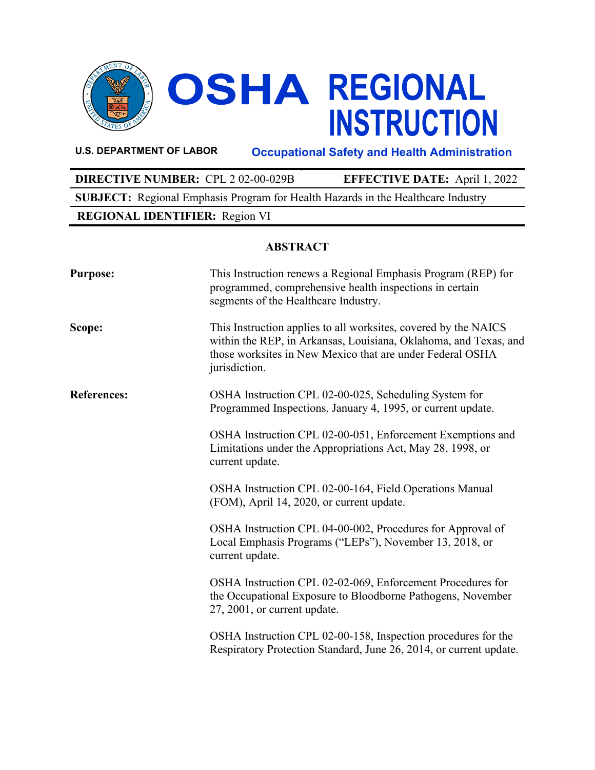

**OSHA REGIONAL<br>INSTRUCTION** 

**U.S. DEPARTMENT OF LABOR Occupational Safety and Health Administration**

**DIRECTIVE NUMBER:** CPL 2 02-00-029B **EFFECTIVE DATE:** April 1, 2022 **SUBJECT:** Regional Emphasis Program for Health Hazards in the Healthcare Industry **REGIONAL IDENTIFIER:** Region VI

# **ABSTRACT**

| <b>Purpose:</b>    | This Instruction renews a Regional Emphasis Program (REP) for<br>programmed, comprehensive health inspections in certain<br>segments of the Healthcare Industry.                                                  |
|--------------------|-------------------------------------------------------------------------------------------------------------------------------------------------------------------------------------------------------------------|
| Scope:             | This Instruction applies to all worksites, covered by the NAICS<br>within the REP, in Arkansas, Louisiana, Oklahoma, and Texas, and<br>those worksites in New Mexico that are under Federal OSHA<br>jurisdiction. |
| <b>References:</b> | OSHA Instruction CPL 02-00-025, Scheduling System for<br>Programmed Inspections, January 4, 1995, or current update.                                                                                              |
|                    | OSHA Instruction CPL 02-00-051, Enforcement Exemptions and<br>Limitations under the Appropriations Act, May 28, 1998, or<br>current update.                                                                       |
|                    | OSHA Instruction CPL 02-00-164, Field Operations Manual<br>(FOM), April 14, 2020, or current update.                                                                                                              |
|                    | OSHA Instruction CPL 04-00-002, Procedures for Approval of<br>Local Emphasis Programs ("LEPs"), November 13, 2018, or<br>current update.                                                                          |
|                    | OSHA Instruction CPL 02-02-069, Enforcement Procedures for<br>the Occupational Exposure to Bloodborne Pathogens, November<br>27, 2001, or current update.                                                         |
|                    | OSHA Instruction CPL 02-00-158, Inspection procedures for the<br>Respiratory Protection Standard, June 26, 2014, or current update.                                                                               |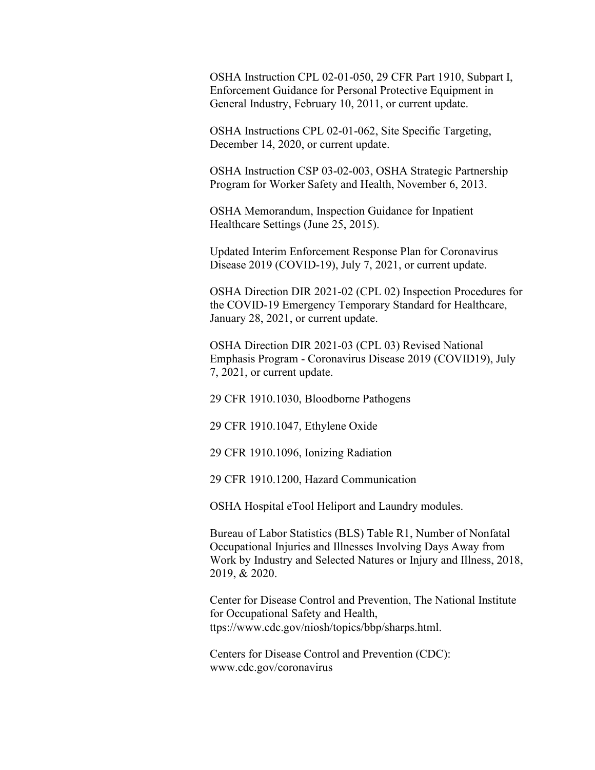OSHA Instruction CPL 02-01-050, 29 CFR Part 1910, Subpart I, Enforcement Guidance for Personal Protective Equipment in General Industry, February 10, 2011, or current update.

OSHA Instructions CPL 02-01-062, Site Specific Targeting, December 14, 2020, or current update.

OSHA Instruction CSP 03-02-003, OSHA Strategic Partnership Program for Worker Safety and Health, November 6, 2013.

OSHA Memorandum, Inspection Guidance for Inpatient Healthcare Settings (June 25, 2015).

Updated Interim Enforcement Response Plan for Coronavirus Disease 2019 (COVID-19), July 7, 2021, or current update.

OSHA Direction DIR 2021-02 (CPL 02) Inspection Procedures for the COVID-19 Emergency Temporary Standard for Healthcare, January 28, 2021, or current update.

OSHA Direction DIR 2021-03 (CPL 03) Revised National Emphasis Program - Coronavirus Disease 2019 (COVID19), July 7, 2021, or current update.

29 CFR 1910.1030, Bloodborne Pathogens

29 CFR 1910.1047, Ethylene Oxide

29 CFR 1910.1096, Ionizing Radiation

29 CFR 1910.1200, Hazard Communication

OSHA Hospital eTool Heliport and Laundry modules.

Bureau of Labor Statistics (BLS) Table R1, Number of Nonfatal Occupational Injuries and Illnesses Involving Days Away from Work by Industry and Selected Natures or Injury and Illness, 2018, 2019, & 2020.

Center for Disease Control and Prevention, The National Institute for Occupational Safety and Health, ttps://www.cdc.gov/niosh/topics/bbp/sharps.html.

Centers for Disease Control and Prevention (CDC): www.cdc.gov/coronavirus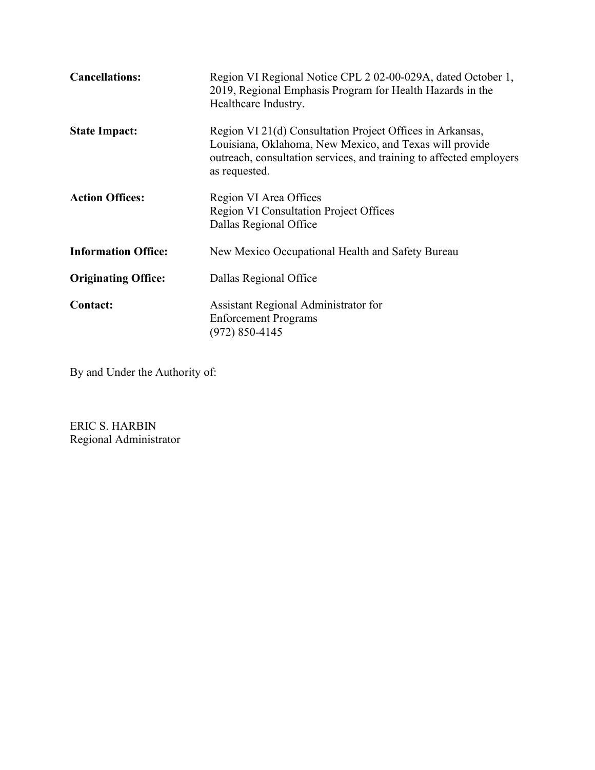| <b>Cancellations:</b>      | Region VI Regional Notice CPL 2 02-00-029A, dated October 1,<br>2019, Regional Emphasis Program for Health Hazards in the<br>Healthcare Industry.                                                            |
|----------------------------|--------------------------------------------------------------------------------------------------------------------------------------------------------------------------------------------------------------|
| <b>State Impact:</b>       | Region VI 21(d) Consultation Project Offices in Arkansas,<br>Louisiana, Oklahoma, New Mexico, and Texas will provide<br>outreach, consultation services, and training to affected employers<br>as requested. |
| <b>Action Offices:</b>     | Region VI Area Offices<br><b>Region VI Consultation Project Offices</b><br>Dallas Regional Office                                                                                                            |
| <b>Information Office:</b> | New Mexico Occupational Health and Safety Bureau                                                                                                                                                             |
| <b>Originating Office:</b> | Dallas Regional Office                                                                                                                                                                                       |
| <b>Contact:</b>            | Assistant Regional Administrator for<br><b>Enforcement Programs</b><br>(972) 850-4145                                                                                                                        |

By and Under the Authority of:

ERIC S. HARBIN Regional Administrator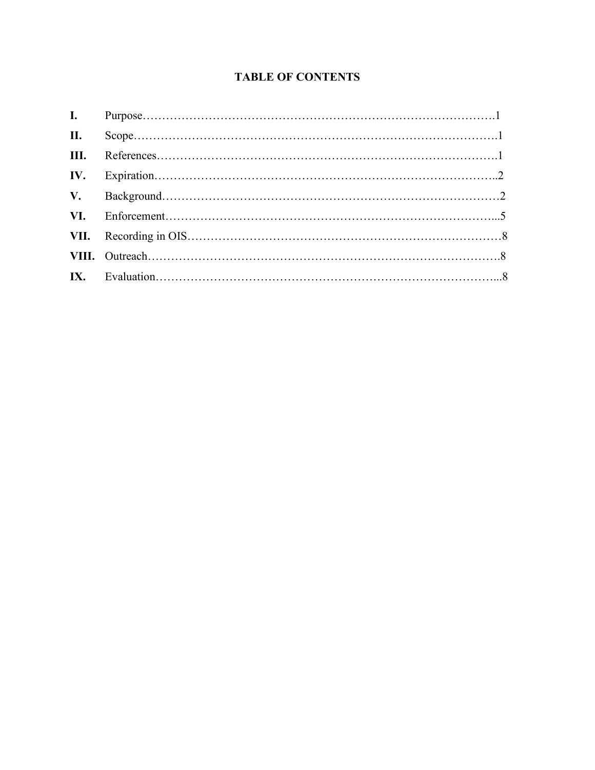# **TABLE OF CONTENTS**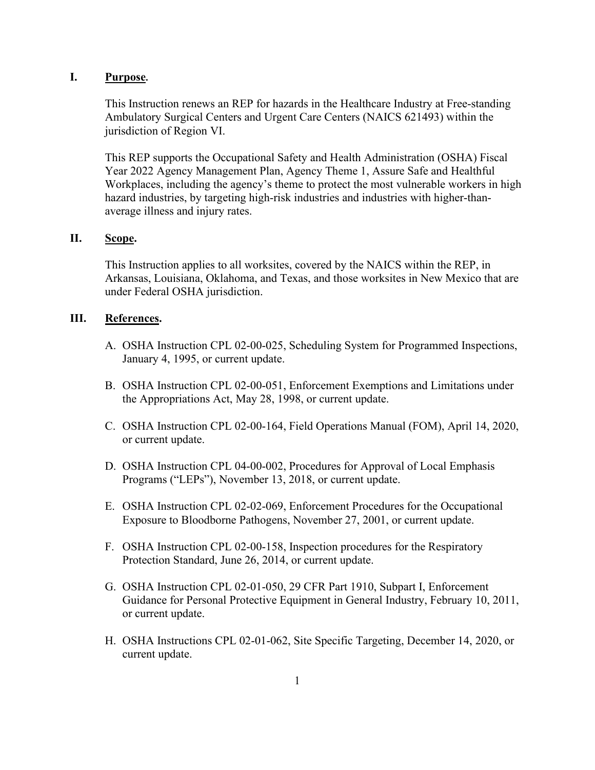#### **I. Purpose.**

This Instruction renews an REP for hazards in the Healthcare Industry at Free-standing Ambulatory Surgical Centers and Urgent Care Centers (NAICS 621493) within the jurisdiction of Region VI.

This REP supports the Occupational Safety and Health Administration (OSHA) Fiscal Year 2022 Agency Management Plan, Agency Theme 1, Assure Safe and Healthful Workplaces, including the agency's theme to protect the most vulnerable workers in high hazard industries, by targeting high-risk industries and industries with higher-thanaverage illness and injury rates.

#### **II. Scope.**

This Instruction applies to all worksites, covered by the NAICS within the REP, in Arkansas, Louisiana, Oklahoma, and Texas, and those worksites in New Mexico that are under Federal OSHA jurisdiction.

#### **III. References.**

- A. OSHA Instruction CPL 02-00-025, Scheduling System for Programmed Inspections, January 4, 1995, or current update.
- B. OSHA Instruction CPL 02-00-051, Enforcement Exemptions and Limitations under the Appropriations Act, May 28, 1998, or current update.
- C. OSHA Instruction CPL 02-00-164, Field Operations Manual (FOM), April 14, 2020, or current update.
- D. OSHA Instruction CPL 04-00-002, Procedures for Approval of Local Emphasis Programs ("LEPs"), November 13, 2018, or current update.
- E. OSHA Instruction CPL 02-02-069, Enforcement Procedures for the Occupational Exposure to Bloodborne Pathogens, November 27, 2001, or current update.
- F. OSHA Instruction CPL 02-00-158, Inspection procedures for the Respiratory Protection Standard, June 26, 2014, or current update.
- G. OSHA Instruction CPL 02-01-050, 29 CFR Part 1910, Subpart I, Enforcement Guidance for Personal Protective Equipment in General Industry, February 10, 2011, or current update.
- H. OSHA Instructions CPL 02-01-062, Site Specific Targeting, December 14, 2020, or current update.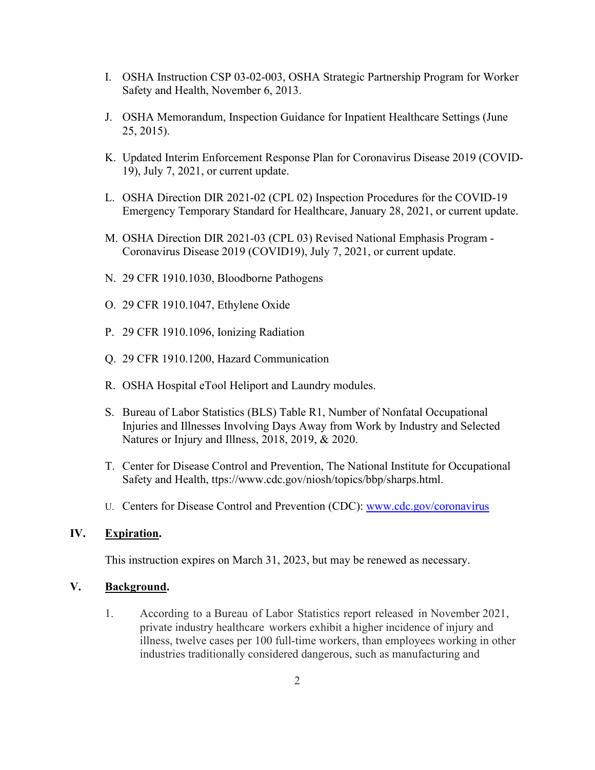- I. OSHA Instruction CSP 03-02-003, OSHA Strategic Partnership Program for Worker Safety and Health, November 6, 2013.
- J. OSHA Memorandum, Inspection Guidance for Inpatient Healthcare Settings (June 25, 2015).
- K. Updated Interim Enforcement Response Plan for Coronavirus Disease 2019 (COVID-19), July 7, 2021, or current update.
- L. OSHA Direction DIR 2021-02 (CPL 02) Inspection Procedures for the COVID-19 Emergency Temporary Standard for Healthcare, January 28, 2021, or current update.
- M. OSHA Direction DIR 2021-03 (CPL 03) Revised National Emphasis Program Coronavirus Disease 2019 (COVID19), July 7, 2021, or current update.
- N. 29 CFR 1910.1030, Bloodborne Pathogens
- O. 29 CFR 1910.1047, Ethylene Oxide
- P. 29 CFR 1910.1096, Ionizing Radiation
- Q. 29 CFR 1910.1200, Hazard Communication
- R. OSHA Hospital eTool Heliport and Laundry modules.
- S. Bureau of Labor Statistics (BLS) Table R1, Number of Nonfatal Occupational Injuries and Illnesses Involving Days Away from Work by Industry and Selected Natures or Injury and Illness, 2018, 2019, & 2020.
- T. Center for Disease Control and Prevention, The National Institute for Occupational Safety and Health, ttps://www.cdc.gov/niosh/topics/bbp/sharps.html.
- U. Centers for Disease Control and Prevention (CDC): [www.cdc.gov/coronavirus](http://www.cdc.gov/coronavirus)

#### **IV. Expiration.**

This instruction expires on March 31, 2023, but may be renewed as necessary.

#### **V. Background.**

1. According to a Bureau of Labor Statistics report released in November 2021, private industry healthcare workers exhibit a higher incidence of injury and illness, twelve cases per 100 full-time workers, than employees working in other industries traditionally considered dangerous, such as manufacturing and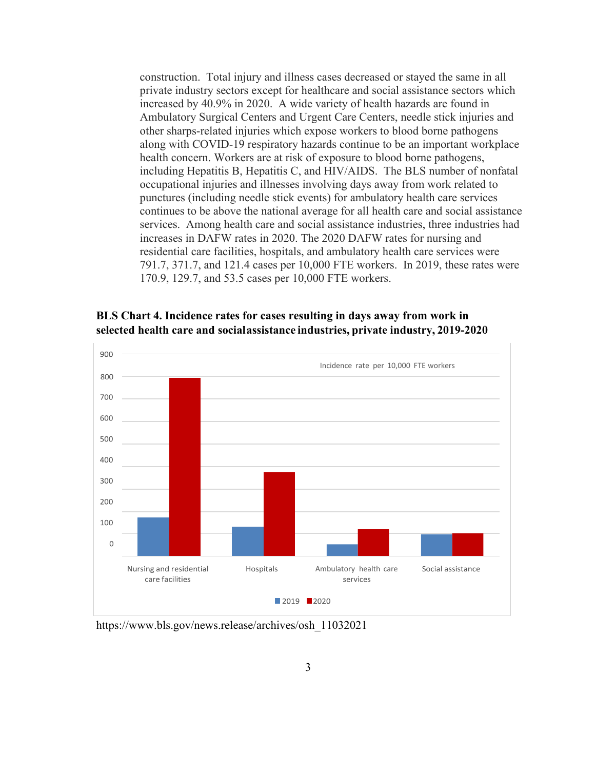construction. Total injury and illness cases decreased or stayed the same in all private industry sectors except for healthcare and social assistance sectors which increased by 40.9% in 2020. A wide variety of health hazards are found in Ambulatory Surgical Centers and Urgent Care Centers, needle stick injuries and other sharps-related injuries which expose workers to blood borne pathogens along with COVID-19 respiratory hazards continue to be an important workplace health concern. Workers are at risk of exposure to blood borne pathogens, including Hepatitis B, Hepatitis C, and HIV/AIDS. The BLS number of nonfatal occupational injuries and illnesses involving days away from work related to punctures (including needle stick events) for ambulatory health care services continues to be above the national average for all health care and social assistance services. Among health care and social assistance industries, three industries had increases in DAFW rates in 2020. The 2020 DAFW rates for nursing and residential care facilities, hospitals, and ambulatory health care services were 791.7, 371.7, and 121.4 cases per 10,000 FTE workers. In 2019, these rates were 170.9, 129.7, and 53.5 cases per 10,000 FTE workers.





https://www.bls.gov/news.release/archives/osh\_11032021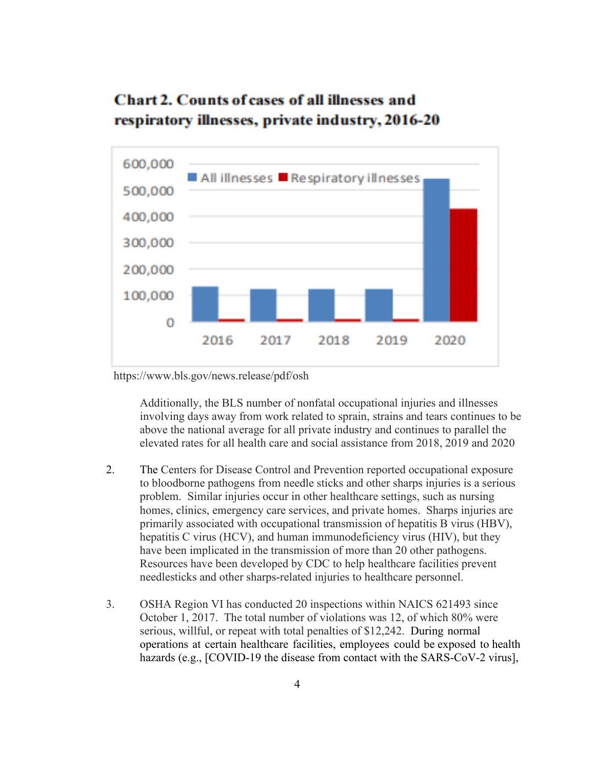# **Chart 2. Counts of cases of all illnesses and** respiratory illnesses, private industry, 2016-20



https://www.bls.gov/news.release/pdf/osh

Additionally, the BLS number of nonfatal occupational injuries and illnesses involving days away from work related to sprain, strains and tears continues to be above the national average for all private industry and continues to parallel the elevated rates for all health care and social assistance from 2018, 2019 and 2020

- 2. The Centers for Disease Control and Prevention reported occupational exposure to bloodborne pathogens from needle sticks and other sharps injuries is a serious problem. Similar injuries occur in other healthcare settings, such as nursing homes, clinics, emergency care services, and private homes. Sharps injuries are primarily associated with occupational transmission of hepatitis B virus (HBV), hepatitis C virus (HCV), and human immunodeficiency virus (HIV), but they have been implicated in the transmission of more than 20 other pathogens. Resources have been developed by CDC to help healthcare facilities prevent needlesticks and other sharps-related injuries to healthcare personnel.
- 3. OSHA Region VI has conducted 20 inspections within NAICS 621493 since October 1, 2017. The total number of violations was 12, of which 80% were serious, willful, or repeat with total penalties of \$12,242. During normal operations at certain healthcare facilities, employees could be exposed to health hazards (e.g., [COVID-19 the disease from contact with the SARS-CoV-2 virus],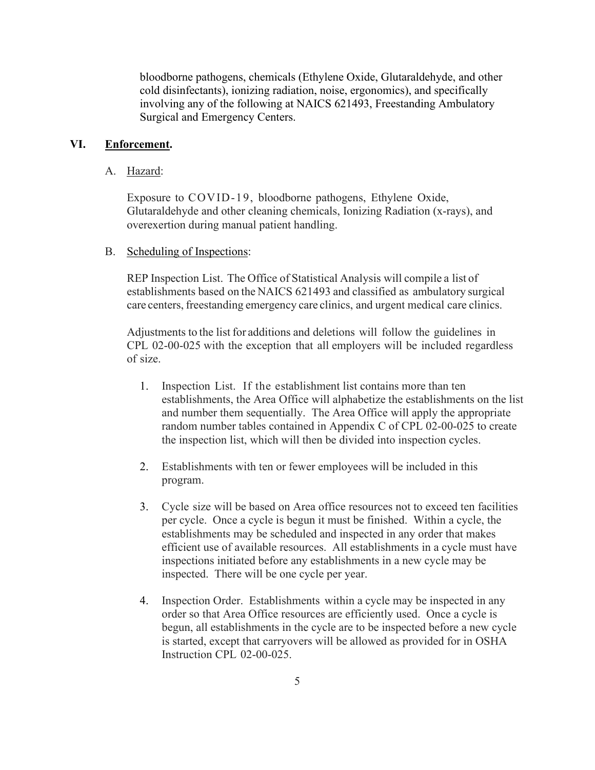bloodborne pathogens, chemicals (Ethylene Oxide, Glutaraldehyde, and other cold disinfectants), ionizing radiation, noise, ergonomics), and specifically involving any of the following at NAICS 621493, Freestanding Ambulatory Surgical and Emergency Centers.

#### **VI. Enforcement.**

#### A. Hazard:

Exposure to COVID-19, bloodborne pathogens, Ethylene Oxide, Glutaraldehyde and other cleaning chemicals, Ionizing Radiation (x-rays), and overexertion during manual patient handling.

#### B. Scheduling of Inspections:

REP Inspection List. The Office of Statistical Analysis will compile a list of establishments based on the NAICS 621493 and classified as ambulatory surgical care centers, freestanding emergency care clinics, and urgent medical care clinics.

Adjustments to the list for additions and deletions will follow the guidelines in CPL 02-00-025 with the exception that all employers will be included regardless of size.

- 1. Inspection List. If the establishment list contains more than ten establishments, the Area Office will alphabetize the establishments on the list and number them sequentially. The Area Office will apply the appropriate random number tables contained in Appendix C of CPL 02-00-025 to create the inspection list, which will then be divided into inspection cycles.
- 2. Establishments with ten or fewer employees will be included in this program.
- 3. Cycle size will be based on Area office resources not to exceed ten facilities per cycle. Once a cycle is begun it must be finished. Within a cycle, the establishments may be scheduled and inspected in any order that makes efficient use of available resources. All establishments in a cycle must have inspections initiated before any establishments in a new cycle may be inspected. There will be one cycle per year.
- 4. Inspection Order. Establishments within a cycle may be inspected in any order so that Area Office resources are efficiently used. Once a cycle is begun, all establishments in the cycle are to be inspected before a new cycle is started, except that carryovers will be allowed as provided for in OSHA Instruction CPL 02-00-025.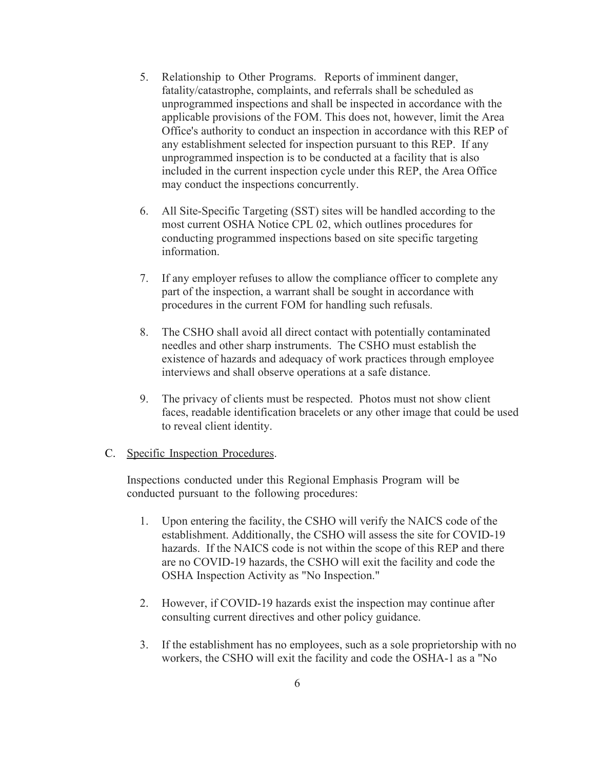- 5. Relationship to Other Programs. Reports of imminent danger, fatality/catastrophe, complaints, and referrals shall be scheduled as unprogrammed inspections and shall be inspected in accordance with the applicable provisions of the FOM. This does not, however, limit the Area Office's authority to conduct an inspection in accordance with this REP of any establishment selected for inspection pursuant to this REP. If any unprogrammed inspection is to be conducted at a facility that is also included in the current inspection cycle under this REP, the Area Office may conduct the inspections concurrently.
- 6. All Site-Specific Targeting (SST) sites will be handled according to the most current OSHA Notice CPL 02, which outlines procedures for conducting programmed inspections based on site specific targeting information.
- 7. If any employer refuses to allow the compliance officer to complete any part of the inspection, a warrant shall be sought in accordance with procedures in the current FOM for handling such refusals.
- 8. The CSHO shall avoid all direct contact with potentially contaminated needles and other sharp instruments. The CSHO must establish the existence of hazards and adequacy of work practices through employee interviews and shall observe operations at a safe distance.
- 9. The privacy of clients must be respected. Photos must not show client faces, readable identification bracelets or any other image that could be used to reveal client identity.

#### C. Specific Inspection Procedures.

Inspections conducted under this Regional Emphasis Program will be conducted pursuant to the following procedures:

- 1. Upon entering the facility, the CSHO will verify the NAICS code of the establishment. Additionally, the CSHO will assess the site for COVID-19 hazards. If the NAICS code is not within the scope of this REP and there are no COVID-19 hazards, the CSHO will exit the facility and code the OSHA Inspection Activity as "No Inspection."
- 2. However, if COVID-19 hazards exist the inspection may continue after consulting current directives and other policy guidance.
- 3. If the establishment has no employees, such as a sole proprietorship with no workers, the CSHO will exit the facility and code the OSHA-1 as a "No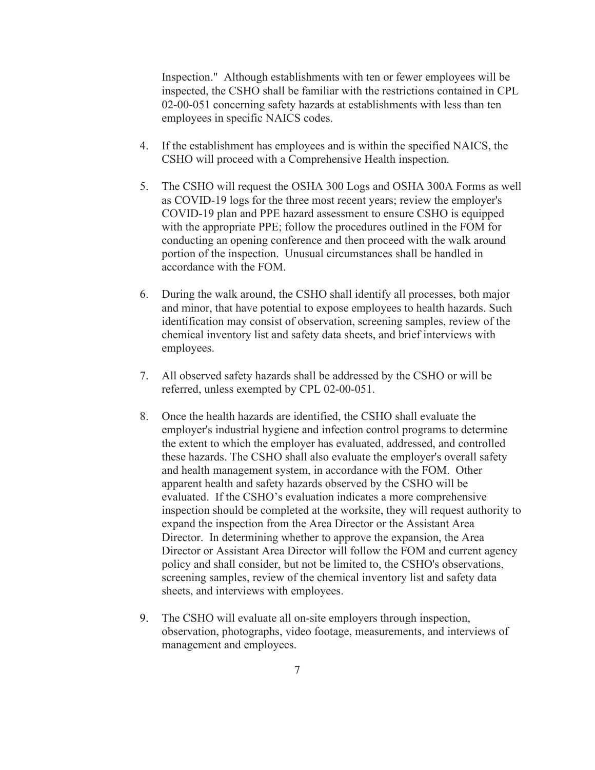Inspection." Although establishments with ten or fewer employees will be inspected, the CSHO shall be familiar with the restrictions contained in CPL 02-00-051 concerning safety hazards at establishments with less than ten employees in specific NAICS codes.

- 4. If the establishment has employees and is within the specified NAICS, the CSHO will proceed with a Comprehensive Health inspection.
- 5. The CSHO will request the OSHA 300 Logs and OSHA 300A Forms as well as COVID-19 logs for the three most recent years; review the employer's COVID-19 plan and PPE hazard assessment to ensure CSHO is equipped with the appropriate PPE; follow the procedures outlined in the FOM for conducting an opening conference and then proceed with the walk around portion of the inspection. Unusual circumstances shall be handled in accordance with the FOM.
- 6. During the walk around, the CSHO shall identify all processes, both major and minor, that have potential to expose employees to health hazards. Such identification may consist of observation, screening samples, review of the chemical inventory list and safety data sheets, and brief interviews with employees.
- 7. All observed safety hazards shall be addressed by the CSHO or will be referred, unless exempted by CPL 02-00-051.
- 8. Once the health hazards are identified, the CSHO shall evaluate the employer's industrial hygiene and infection control programs to determine the extent to which the employer has evaluated, addressed, and controlled these hazards. The CSHO shall also evaluate the employer's overall safety and health management system, in accordance with the FOM. Other apparent health and safety hazards observed by the CSHO will be evaluated. If the CSHO's evaluation indicates a more comprehensive inspection should be completed at the worksite, they will request authority to expand the inspection from the Area Director or the Assistant Area Director. In determining whether to approve the expansion, the Area Director or Assistant Area Director will follow the FOM and current agency policy and shall consider, but not be limited to, the CSHO's observations, screening samples, review of the chemical inventory list and safety data sheets, and interviews with employees.
- 9. The CSHO will evaluate all on-site employers through inspection, observation, photographs, video footage, measurements, and interviews of management and employees.